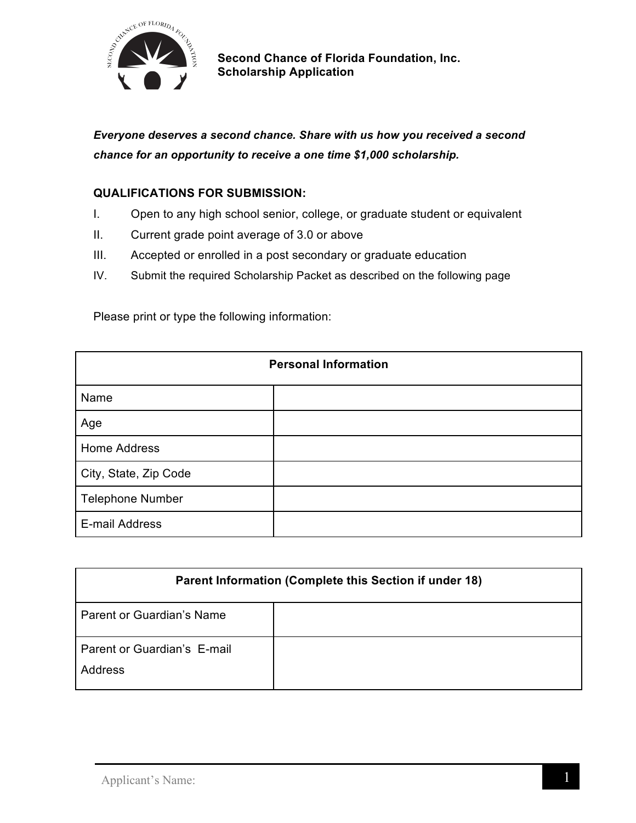

*Everyone deserves a second chance. Share with us how you received a second chance for an opportunity to receive a one time \$1,000 scholarship.*

## **QUALIFICATIONS FOR SUBMISSION:**

- I. Open to any high school senior, college, or graduate student or equivalent
- II. Current grade point average of 3.0 or above
- III. Accepted or enrolled in a post secondary or graduate education
- IV. Submit the required Scholarship Packet as described on the following page

| <b>Personal Information</b> |  |
|-----------------------------|--|
| Name                        |  |
| Age                         |  |
| <b>Home Address</b>         |  |
| City, State, Zip Code       |  |
| <b>Telephone Number</b>     |  |
| E-mail Address              |  |

Please print or type the following information:

| Parent Information (Complete this Section if under 18) |  |
|--------------------------------------------------------|--|
| Parent or Guardian's Name                              |  |
| Parent or Guardian's E-mail<br>Address                 |  |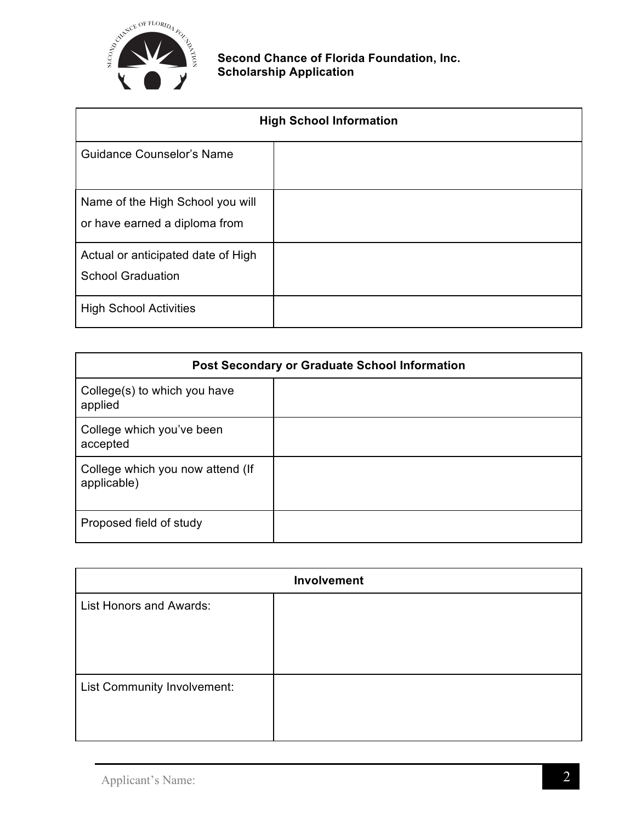

| <b>High School Information</b>                                    |  |
|-------------------------------------------------------------------|--|
| <b>Guidance Counselor's Name</b>                                  |  |
| Name of the High School you will<br>or have earned a diploma from |  |
| Actual or anticipated date of High<br><b>School Graduation</b>    |  |
| <b>High School Activities</b>                                     |  |

| <b>Post Secondary or Graduate School Information</b> |  |
|------------------------------------------------------|--|
| College(s) to which you have<br>applied              |  |
| College which you've been<br>accepted                |  |
| College which you now attend (If<br>applicable)      |  |
| Proposed field of study                              |  |

| Involvement                    |  |
|--------------------------------|--|
| <b>List Honors and Awards:</b> |  |
|                                |  |
|                                |  |
|                                |  |
| List Community Involvement:    |  |
|                                |  |
|                                |  |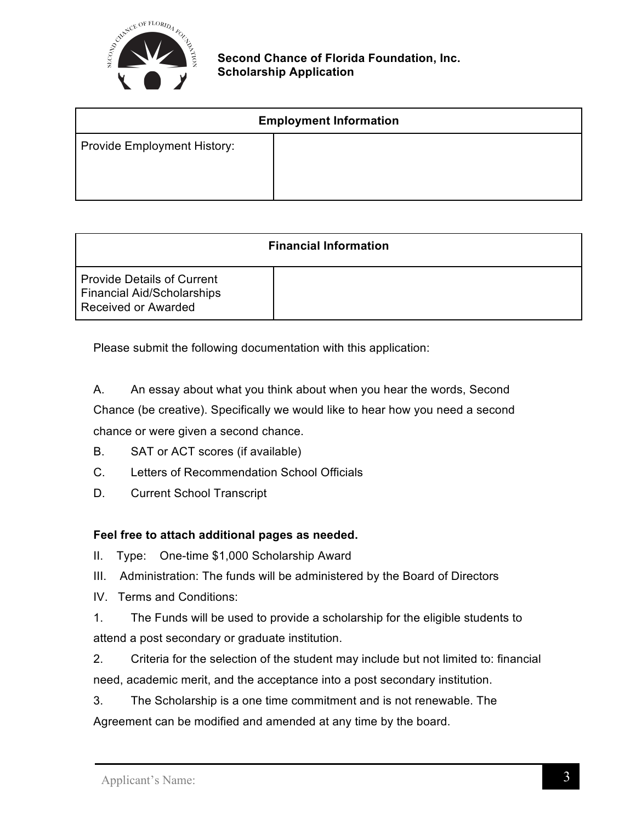

| <b>Employment Information</b> |  |
|-------------------------------|--|
| Provide Employment History:   |  |

| <b>Financial Information</b>                                                                  |  |
|-----------------------------------------------------------------------------------------------|--|
| <b>Provide Details of Current</b><br><b>Financial Aid/Scholarships</b><br>Received or Awarded |  |

Please submit the following documentation with this application:

A. An essay about what you think about when you hear the words, Second Chance (be creative). Specifically we would like to hear how you need a second chance or were given a second chance.

- B. SAT or ACT scores (if available)
- C. Letters of Recommendation School Officials
- D. Current School Transcript

## **Feel free to attach additional pages as needed.**

II. Type: One-time \$1,000 Scholarship Award

- III. Administration: The funds will be administered by the Board of Directors
- IV. Terms and Conditions:
- 1. The Funds will be used to provide a scholarship for the eligible students to attend a post secondary or graduate institution.
- 2. Criteria for the selection of the student may include but not limited to: financial need, academic merit, and the acceptance into a post secondary institution.

3. The Scholarship is a one time commitment and is not renewable. The Agreement can be modified and amended at any time by the board.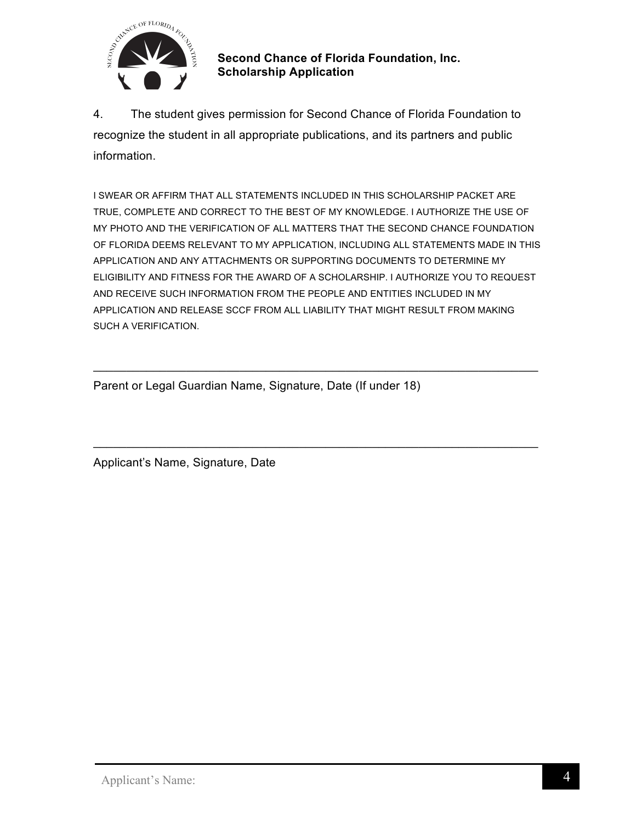

4. The student gives permission for Second Chance of Florida Foundation to recognize the student in all appropriate publications, and its partners and public information.

I SWEAR OR AFFIRM THAT ALL STATEMENTS INCLUDED IN THIS SCHOLARSHIP PACKET ARE TRUE, COMPLETE AND CORRECT TO THE BEST OF MY KNOWLEDGE. I AUTHORIZE THE USE OF MY PHOTO AND THE VERIFICATION OF ALL MATTERS THAT THE SECOND CHANCE FOUNDATION OF FLORIDA DEEMS RELEVANT TO MY APPLICATION, INCLUDING ALL STATEMENTS MADE IN THIS APPLICATION AND ANY ATTACHMENTS OR SUPPORTING DOCUMENTS TO DETERMINE MY ELIGIBILITY AND FITNESS FOR THE AWARD OF A SCHOLARSHIP. I AUTHORIZE YOU TO REQUEST AND RECEIVE SUCH INFORMATION FROM THE PEOPLE AND ENTITIES INCLUDED IN MY APPLICATION AND RELEASE SCCF FROM ALL LIABILITY THAT MIGHT RESULT FROM MAKING SUCH A VERIFICATION.

\_\_\_\_\_\_\_\_\_\_\_\_\_\_\_\_\_\_\_\_\_\_\_\_\_\_\_\_\_\_\_\_\_\_\_\_\_\_\_\_\_\_\_\_\_\_\_\_\_\_\_\_\_\_\_\_\_\_\_\_\_\_\_\_\_\_\_

\_\_\_\_\_\_\_\_\_\_\_\_\_\_\_\_\_\_\_\_\_\_\_\_\_\_\_\_\_\_\_\_\_\_\_\_\_\_\_\_\_\_\_\_\_\_\_\_\_\_\_\_\_\_\_\_\_\_\_\_\_\_\_\_\_\_\_

Parent or Legal Guardian Name, Signature, Date (If under 18)

Applicant's Name, Signature, Date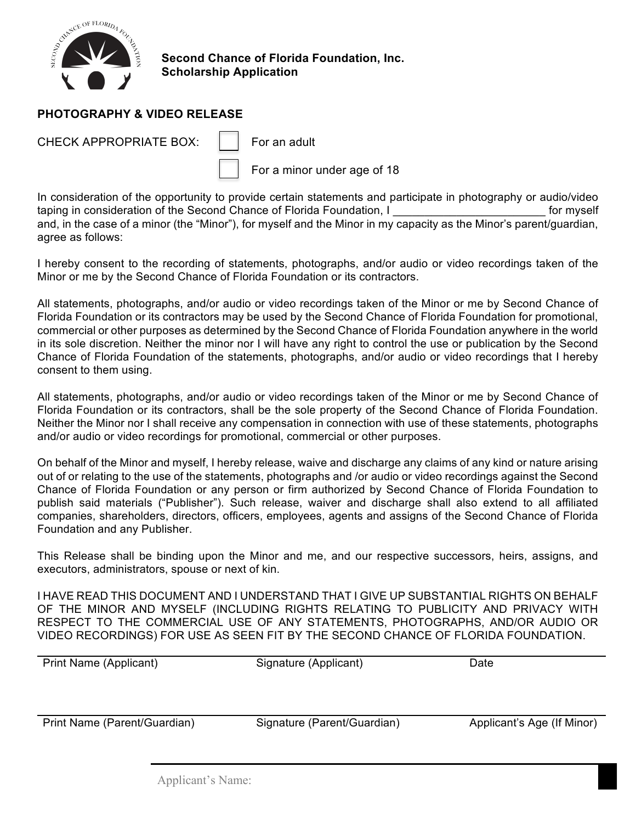

## **PHOTOGRAPHY & VIDEO RELEASE**

CHECK APPROPRIATE BOX:  $\|\cdot\|$  For an adult

For a minor under age of 18

In consideration of the opportunity to provide certain statements and participate in photography or audio/video taping in consideration of the Second Chance of Florida Foundation, I can be a set of myself and, in the case of a minor (the "Minor"), for myself and the Minor in my capacity as the Minor's parent/guardian, agree as follows:

I hereby consent to the recording of statements, photographs, and/or audio or video recordings taken of the Minor or me by the Second Chance of Florida Foundation or its contractors.

All statements, photographs, and/or audio or video recordings taken of the Minor or me by Second Chance of Florida Foundation or its contractors may be used by the Second Chance of Florida Foundation for promotional, commercial or other purposes as determined by the Second Chance of Florida Foundation anywhere in the world in its sole discretion. Neither the minor nor I will have any right to control the use or publication by the Second Chance of Florida Foundation of the statements, photographs, and/or audio or video recordings that I hereby consent to them using.

All statements, photographs, and/or audio or video recordings taken of the Minor or me by Second Chance of Florida Foundation or its contractors, shall be the sole property of the Second Chance of Florida Foundation. Neither the Minor nor I shall receive any compensation in connection with use of these statements, photographs and/or audio or video recordings for promotional, commercial or other purposes.

On behalf of the Minor and myself, I hereby release, waive and discharge any claims of any kind or nature arising out of or relating to the use of the statements, photographs and /or audio or video recordings against the Second Chance of Florida Foundation or any person or firm authorized by Second Chance of Florida Foundation to publish said materials ("Publisher"). Such release, waiver and discharge shall also extend to all affiliated companies, shareholders, directors, officers, employees, agents and assigns of the Second Chance of Florida Foundation and any Publisher.

This Release shall be binding upon the Minor and me, and our respective successors, heirs, assigns, and executors, administrators, spouse or next of kin.

I HAVE READ THIS DOCUMENT AND I UNDERSTAND THAT I GIVE UP SUBSTANTIAL RIGHTS ON BEHALF OF THE MINOR AND MYSELF (INCLUDING RIGHTS RELATING TO PUBLICITY AND PRIVACY WITH RESPECT TO THE COMMERCIAL USE OF ANY STATEMENTS, PHOTOGRAPHS, AND/OR AUDIO OR VIDEO RECORDINGS) FOR USE AS SEEN FIT BY THE SECOND CHANCE OF FLORIDA FOUNDATION.

| <b>Print Name (Applicant)</b> | Signature (Applicant) | Date |
|-------------------------------|-----------------------|------|
|                               |                       |      |

Print Name (Parent/Guardian) Signature (Parent/Guardian) Applicant's Age (If Minor)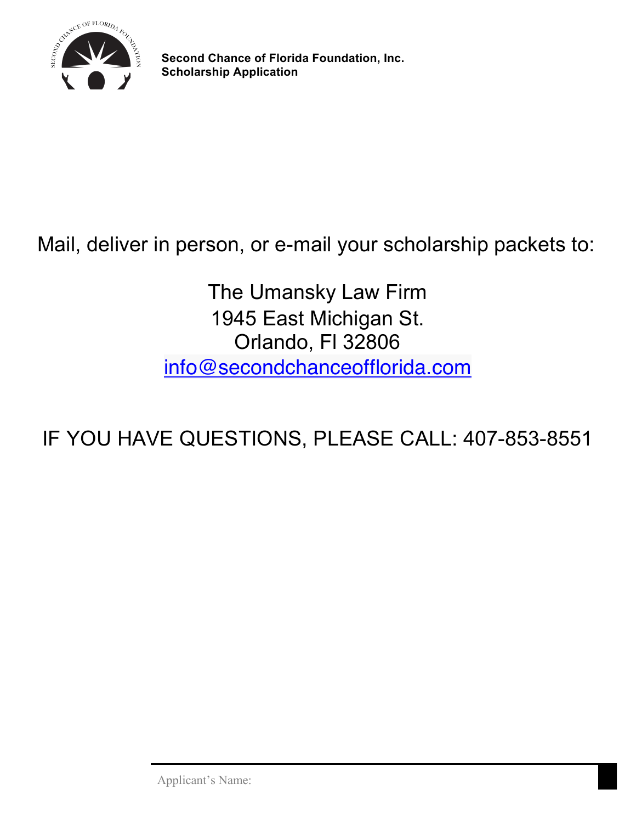

## Mail, deliver in person, or e-mail your scholarship packets to:

The Umansky Law Firm 1945 East Michigan St. Orlando, Fl 32806 info@secondchanceofflorida.com

IF YOU HAVE QUESTIONS, PLEASE CALL: 407-853-8551

Applicant's Name: